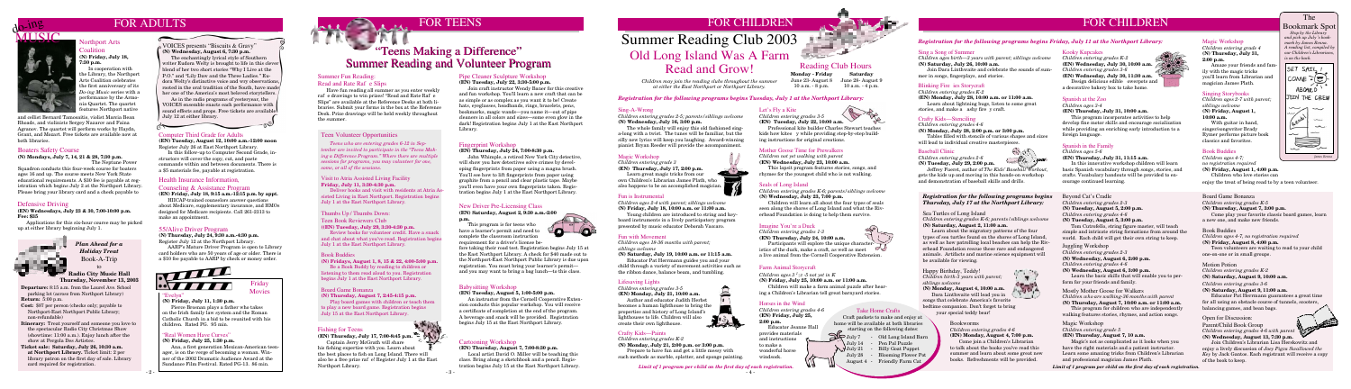# Old Long Island Was A Farm Read and Grow! Reading C



Summer Reading Club 2003

10 a.m. - 8 p.m.

June 23- August 8 June 28- August 9











**Saturday**

10 a.m. - 4 p.m.



#### Health Insurance Information,

#### Counseling & Assistance Program

**(EN) Friday, July 18, 9:15 a.m.-12:15 p.m. by appt.** HIICAP-trained counselors answer questions about Medicare, supplementary insurance, and HMOs designed for Medicare recipients. Call 261-2313 to

make an appointment.

"Evelyn" **(N) Friday, July 11, 1:30 p.m.**

Pierce Brosnan plays a father who takes on the Irish family law system and the Roman Catholic Church in a bid to be reunited with his children. Rated PG. 95 min.



#### "Real Women Have Curves"

**(N) Friday, July 25, 1:30 p.m.**

Ana, a first generation Mexican-American teenager, is on the verge of becoming a woman. Winner of the 2002 Dramatic Audience Award at the Sundance Film Festival. Rated PG-13. 86 min.

#### Northport Arts Coalition

**(N) Friday, July 18, 7:30 p.m.**

 In cooperation with the Library, the Northport Arts Coalition celebrates the first anniversary of its *Do-ing Music* series with a performance by the Armonia Quartet. The quartet features Northport native

> **Review books for volunteer credit. Have a snack** and chat about what you've read. Registration begins July 1 at the East Northport Library.

**Departure:** 8:15 a.m. from the Laurel Ave. School parking lot (across from Northport Library) **Return:** 5:00 p.m.

**Cost:** \$87 per person (checks only; payable to

**Peliver books and visit with residents at Atria A** sisted Living in East Northport. Registration begins July 1 at the East Northport Library.

- Northport-East Northport Public Library; non-refundable)
- **Itinerary:** Treat yourself and someone you love to the spectacular Radio City Christmas Show (showtime: 11:00 a.m.). Enjoy lunch after the show at Pergola Des Artistes.
- **Ticket sale: Saturday, July 26, 10:30 a.m. at Northport Library.** Ticket limit: 2 per library patron on the first day of sale. Library card required for registration.

**Radio City Music Hall Thursday, November 13, 2003**

#### Defensive Driving

**(EN) Wednesdays, July 23 & 30, 7:00-10:00 p.m. Fee: \$35** 

 Applications for this six-hour course may be picked up at either library beginning July 1.



#### Teen Volunteer Opportunities

## Fishing for Teens

## **(EN) Thursday, July 17, 7:00-8:45 p.m.**

 Captain Jerry McGrath will share his fishing expertise with you. Learn about the best places to fish on Long Island. There will also be a free prize rafe! Register July 1 at the East Northport Library.

#### Thumbs Up / Thumbs Down:

Teen Book Reviewers Club

#### **((EN) Tuesday, July 29, 3:30-4:30 p.m.**

#### Summer Fun Reading: Read and Rate Rafe Slips

#### Visit to Atria Assisted Living Facility **Friday, July 11, 3:30-4:30 p.m.**

# "Teens Making a Difference" "Teens Making a Difference" Summer Reading and Volunteer Program Summer Reading and Volunteer Program

#### Book Buddies

**(N) Fridays, August 1, 8, 15 & 22, 4:00-5:00 p.m.**

Be a Book Buddy by reading to children or listening to them read aloud to you. Registration begins July 1 at the East Northport Library.

#### Board Game Bonanza

**(N) Thursday, August 7, 2:45-4:15 p.m.**

Play board games with children or teach them to play a new board game. Registration begins July 15 at the East Northport Library.

 $\mathbf{h}^{(k)}$  and

## Pipe Cleaner Sculpture Workshop

**(EN) Tuesday, July 22, 3:30-5:00 p.m.**

 Join craft instructor Wendy Baner for this creative and fun workshop. You'll learn a new craft that can be as simple or as complex as you want it to be! Create hats, eyeglasses, headbands, rings, bracelets, pens, bookmarks, magic wands—you name it—out of pipe cleaners in all colors and sizes—some even glow in the dark! Registration begins July 1 at the East Northport Library.

#### Fingerprint Workshop

#### **(EN) Thursday, July 24, 7:00-8:30 p.m.**

 John Whimple, a retired New York City detective, will show you how detectives solve crimes by developing fingerprints from paper using a magna brush. You'll see how to lift fingerprints from paper using graphite from a pencil and clear plastic tape. Maybe you'll even have your own fingerprints taken. Registration begins July 1 at the East Northport Library.

#### New Driver Pre-Licensing Class

**(EN) Saturday, August 2, 9:30 a.m.-2:00 p.m.**

 This program is for teens who have a learner's permit and need to complete the classroom instruction requirement for a driver's license be-

fore taking their road test. Registration begins July 15 at the East Northport Library. A check for \$40 made out to the Northport-East Northport Public Library is due upon registration. You must bring your learner's permit and you may want to bring a bag lunch—to this class.

#### Babysitting Workshop

#### **(EN) Tuesday, August 5, 1:00-5:00 p.m.**

 An instructor from the Cornell Cooperative Extension conducts this popular workshop. You will receive a certificate of completion at the end of the program. A beverage and snack will be provided. Registration begins July 15 at the East Northport Library.

#### Cartooning Workshop

**(EN) Thursday, August 7, 7:00-8:30 p.m.**

 Local artist David O. Miller will be teaching this class. Bring along a sketchbook and a pencil. Registration begins July 15 at the East Northport Library.

# $2c-$

 Have fun reading all summer as you enter weekly raf e drawings to win prizes! "Read and Rate Rafe Slips" are available at the Reference Desks at both libraries. Submit your forms in the box at the Reference Desk. Prize drawings will be held weekly throughout the summer.

 *Teens who are entering grades 6-12 in September are invited to participate in the "Teens Making a Difference Program." Where there are multiple sessions for programs, you may volunteer for one, some, or all of the sessions.*

*Registration for the following programs begins Tuesday, July 1 at the Northport Library:*

#### Horses in the Wind

*Children entering grades 4-6* **(EN) Friday, July 25, 2:00 p.m.** Educator Jeanne Hall provides materials and instructions to make a

wonderful horse

windsock.

#### Farm Animal Storycraft

*Children ages 3 1 ¦2 -5 not yet in K*

Amaze your friends and i ily with the magic tricks you'll learn from Librarian and magician James Plath.

**(N) Friday, July 25, 10:00 a.m. or 11:00 a.m.**

 Children will make a farm animal puzzle after hearing a Children's Librarian tell great barnyard stories.

#### Imagine You're a Duck

*Children entering grades 1-3* **(EN) Thursday, July 24, 10:00 a.m.**

 Participants will explore the unique characteristics of the duck, make a craft, as well as meet a live animal from the Cornell Cooperative Extension.

Design delicious edible owerpots and a decorative bakery box to take home.

#### Seals of Long Island

*Children entering grades K-6; parents/siblings welcome* **(N) Wednesday, July 23, 7:00 p.m.**

 Children will learn all about the four types of seals seen along the shores of Long Island and what the Riverhead Foundation is doing to help them survive.

**(EN) Monday, July 28, 10:00 a.m. or 11:00 a.m.** Learn about lightning bugs, listen to some great stories, and make a ashy fire y craft.

#### Mother Goose Time for Prewalkers

*Children not yet walking with parent* **(EN) Wednesday, July 23, 10:00 a.m.**

 This lapsit program features stories, songs, and rhymes for the youngest child who is not walking.

*is on the back.* SET SAIL I  $COME = (\Xi)$ ABOARD JOIN THE CREW  $\sim$ ے



#### Let's Fly a Kite *Children entering grades 3-5*

**(EN) Tuesday, July 22, 10:00 a.m.**

 Professional kite builder Charles Stewart teaches kids how kites y while providing step-by-step building instructions for original creations.

#### Crafty Kids—Paints

*Children entering grades K-2*

**(N) Monday, July 21, 2:00 p.m. or 3:00 p.m.** Prepare to have fun and get a little messy with

such methods as marble, splatter, and sponge painting.

#### Lifesaving Lights

*Children entering grades 3-5* **(EN) Monday, July 21, 10:00 a.m.**

 Author and educator Judith Herbst becomes a human lighthouse to bring the properties and history of Long Island's lighthouses to life. Children will also create their own lighthouse.

#### Fun with Movement

*Children ages 18-36 months with parent; siblings welcome*

**(N) Saturday, July 19, 10:00 a.m. or 11:15 a.m.**

 Educator Pat Herrmann guides you and your child through a variety of movement activities such as the ribbon dance, balance beam, and tumbling.

Fun is Instrumental *Children ages 2-4 with parent; siblings welcome* **(N) Friday, July 18, 10:00 a.m. or 11:00 a.m.**

> $J_{\text{uly 7}}$  - Old Long Island Barn July 14 - Pen Pal Puzzle July 21 - Billy Goat Puppet July 28 - Blooming Flower Pot

 Young children are introduced to string and keyboard instruments in a lively participatory program presented by music educator Deborah Vaccaro.

#### Magic Workshop

*Children entering grade 3*

**(EN) Thursday, July 17, 2:00 p.m.**

 Learn great magic tricks from our own Children's Librarian James Plath, who also happens to be an accomplished magician.

#### Sing-A-Wrong

*Children entering grades 2-5; parents/siblings welcome* **(N) Wednesday, July 16, 3:00 p.m.**

 The whole family will enjoy this old fashioned singa-long with a twist. The tunes will be familiar, but the silly new lyrics will keep you laughing. Award-winning pianist Bryan Reeder will provide the accompaniment.

#### *Registration for the following programs begins Thursday, July 17 at the Northport Library:*

Book-A-Trip to *Plan Ahead for a Holiday Treat*

#### Open for Discussion:

Parent/Child Book Group *Children entering grades 4-6 with parent* **(N) Wednesday, August 13, 7:30 p.m.**

 Join Children's Librarian Lisa Herskowitz and enjoy a lively discussion of *Joey Pigza Swallowed the Key* by Jack Gantos. Each registrant will receive a copy of the book to keep.

Motion Potion *Children entering grades K-2* **(N) Saturday, August 9, 10:00 a.m.**

*Children entering grades 3-6*

#### **(N) Saturday, August 9, 11:00 a.m.**

 Educator Pat Herrmann guarantees a great time for all using an obstacle course of tunnels, scooters, balancing games, and bean bags.

#### Book Buddies

*Children ages 4-7, no registration required* **(N) Friday, August 8, 4:00 p.m.**

 Teen volunteers are waiting to read to your child one-on-one or in small groups.

Board Game Bonanza

#### *Children entering grades K-5* **(N) Thursday, August 7, 3:00 p.m.**

 Come play your favorite classic board games, learn a new one, and make new friends.

#### Magic Workshop

*Children entering grade 5*

**(EN) Thursday, August 7, 10 a.m.**

 Magic's not as complicated as it looks when you have the right materials and a patient instructor. Learn some amazing tricks from Children's Librarian and professional magician James Plath.

#### Mostly Mother Goose for Walkers

*Children who are walking-36 months with parent* **(N) Thursday, August 7, 10:00 a.m. or 11:00 a.m.**

 This program for children who are independently walking features stories, rhymes, and action songs.

#### Juggling Workshop

*Children entering grades 2-3*

**(N) Wednesday, August 6, 2:00 p.m.**

*Children entering grades 4-6*

**(N) Wednesday, August 6, 3:00 p.m.**

 Learn the basic skills that will enable you to perform for your friends and family.

#### Beyond Cat's Cradle

*Children entering grades 2-3* **(N) Tuesday, August 5, 2:00 p.m.** *Children entering grades 4-6*

**(N) Tuesday, August 5, 3:00 p.m.**

 Tom Cutrofello, string figure master, will teach simple and intricate string formations from around the world. Each child will get their own string to keep.

#### Bookworms *Children entering grades 4-6* **(EN) Monday, August 4, 7:00 p.m.** Come join a Children's Librarian

to talk about the books you've read this summer and learn about some great new books. Refreshments will be provided.

#### Happy Birthday, Teddy! *Children birth-3 years with parent; siblings welcome*



**(N) Monday, August 4, 10:00 a.m.** Dara Linthwaite will lead you in songs that celebrate America's favorite bedtime companion. Don't forget to bring your special teddy bear!

#### Sea Turtles of Long Island

*Children entering grades K-6; parents/siblings welcome* **(N) Saturday, August 2, 11:00 a.m.**

 Learn about the migratory patterns of the four types of sea turtles found on the shores of Long Island, as well as how patrolling local beaches can help the Riverhead Foundation rescue these rare and endangered animals. Artifacts and marine science equipment will be available for viewing.

#### *Registration for the following programs begins Friday, July 11 at the Northport Library:*

#### Book Buddies

*Children ages 4-7; no registration required*

#### Singing Storybooks

*Children ages 2-7 with parent; siblings welcome* **(N) Friday, August 1, 10:00 a.m.**

 With guitar in hand, singer/songwriter Brady Rymer performs picture book classics and favorites.

#### Magic Workshop

*Children entering grade 4* **(N) Thursday, July 31, 2:00 p.m.**

#### Spanish in the Family

*Children ages 5-6*

**(EN) Thursday, July 31, 11:15 a.m.**

 In this innovative workshop children will learn basic Spanish vocabulary through songs, stories, and crafts. Vocabulary handouts will be provided to encourage continued learning.

#### Spanish at the Zoo

*Children ages 3-4*

**(EN) Thursday, July 31, 10:00 a.m.**

 This program incorporates activities to help develop fine motor skills and encourage socialization while providing an enriching early introduction to a foreign language.

#### Kooky Kupcakes

*Children entering grades K-2* **(EN) Wednesday, July 30, 10:00 a.m.** *Children entering grades 3-6* **(EN) Wednesday, July 30, 11:30 a.m.**

> **(N) Friday, August 1, 4:00 p.m.**  Children who love stories can enjoy the treat of being read to by a teen volunteer.

#### Baseball Clinic

*Children entering grades 2-6* **(N) Tuesday, July 29, 2:00 p.m.**



 Jeffrey Fuerst, author of *The Kids' Baseball Workout*, gets the kids up and moving in this hands-on workshop and demonstration of baseball skills and drills.

#### Crafty Kids—Stenciling

*Children entering grades 4-6*

#### **(N) Monday, July 28, 2:00 p.m. or 3:00 p.m.**

 Tables filled with stencils of various shapes and sizes will lead to individual creative masterpieces.

*Children entering grades K-2*

#### Sing a Song of Summer

*Children ages birth—3 years with parent; siblings welcome* **(N) Saturday, July 26, 10:00 a.m.**

 Join Dara Linthwaite and celebrate the sounds of summer in songs, fingerplays, and stories.

#### Blinking Fire ies Storycraft

## The Bookmark Spot







*Children may join the reading clubs throughout the summer at either the East Northport or Northport Library.* 

#### Boaters Safety Course

**(N) Mondays, July 7, 14, 21 & 28, 7:30 p.m.** 

 The Neptune Power Squadron conducts this four-week course for boaters ages 16 and up. The course meets New York State educational requirements. A \$30 fee is payable at registration which begins July 2 at the Northport Library. Please bring your library card and a check payable to

## 55/Alive Driver Program

**(N) Thursday, July 24, 9:30 a.m.-4:30 p.m.** Register July 12 at the Northport Library.

AARP's Mature Driver Program is open to Library card holders who are 50 years of age or older. There is a \$10 fee payable to AARP by check or money order.



## Computer Third Grade for Adults

**(EN) Tuesday, August 12, 10:00 a.m.-12:00 noon** Register July 26 at East Northport Library.

In this follow-up to Computer Second Grade, instructors will cover the copy, cut, and paste commands within and between documents. There is a \$5 materials fee, payable at registration.

#### VOICES presents "Biscuits & Gravy" **(N) Wednesday, August 6, 7:30 p.m.**

 The enchantingly lyrical style of Southern writer Eudora Welty is brought to life in this clever blend of her two short stories "Why I Live at the P.O." and "Lily Daw and the Three Ladies." Eudora Welty's distinctive voice and wry observations, rooted in the oral tradition of the South, have made her one of the America's most beloved storytellers.

 As in the radio programs of yesteryear, the VOICES ensemble enacts each performance with sound effects and props. Free tickets are available July 12 at either library.





and cellist Bernard Tamosaitis, violist Marcia Bean Rhoads, and violinists Sergey Nazarov and Faina Agranov. The quartet will perform works by Haydn, Grant, and Mozart. Free tickets are available now at both libraries.

> home will be available at both libraries starting on the following dates:

 Craft packets to make and enjoy at Take Home Crafts

 $\Longleftrightarrow$ 

August 4 - Friendly Farm Cat